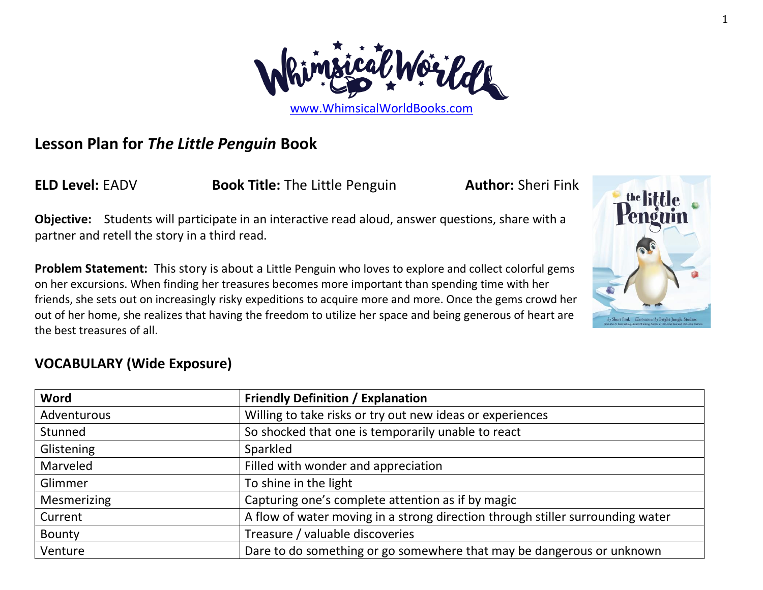

# **Lesson Plan for** *The Little Penguin* **Book**

**ELD Level:** EADV **Book Title:** The Little Penguin **Author:** Sheri Fink

**Objective:** Students will participate in an interactive read aloud, answer questions, share with a partner and retell the story in a third read.

**Problem Statement:** This story is about a Little Penguin who loves to explore and collect colorful gems on her excursions. When finding her treasures becomes more important than spending time with her friends, she sets out on increasingly risky expeditions to acquire more and more. Once the gems crowd her out of her home, she realizes that having the freedom to utilize her space and being generous of heart are the best treasures of all.

## **VOCABULARY (Wide Exposure)**

| Word            | <b>Friendly Definition / Explanation</b>                                       |  |
|-----------------|--------------------------------------------------------------------------------|--|
| Adventurous     | Willing to take risks or try out new ideas or experiences                      |  |
| Stunned         | So shocked that one is temporarily unable to react                             |  |
| Glistening      | Sparkled                                                                       |  |
| <b>Marveled</b> | Filled with wonder and appreciation                                            |  |
| Glimmer         | To shine in the light                                                          |  |
| Mesmerizing     | Capturing one's complete attention as if by magic                              |  |
| Current         | A flow of water moving in a strong direction through stiller surrounding water |  |
| Bounty          | Treasure / valuable discoveries                                                |  |
| Venture         | Dare to do something or go somewhere that may be dangerous or unknown          |  |

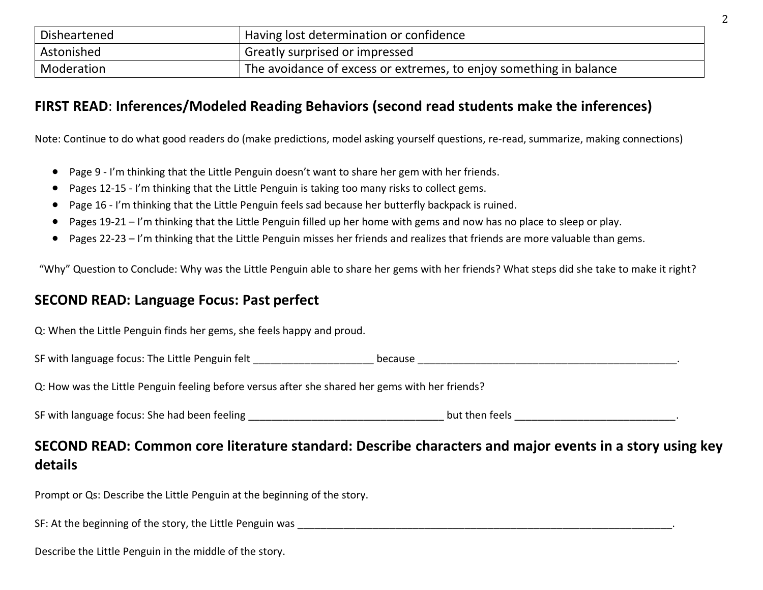| Disheartened | Having lost determination or confidence                            |  |
|--------------|--------------------------------------------------------------------|--|
| Astonished   | Greatly surprised or impressed                                     |  |
| Moderation   | The avoidance of excess or extremes, to enjoy something in balance |  |

### **FIRST READ**: **Inferences/Modeled Reading Behaviors (second read students make the inferences)**

Note: Continue to do what good readers do (make predictions, model asking yourself questions, re-read, summarize, making connections)

- Page 9 I'm thinking that the Little Penguin doesn't want to share her gem with her friends.
- Pages 12-15 I'm thinking that the Little Penguin is taking too many risks to collect gems.
- Page 16 I'm thinking that the Little Penguin feels sad because her butterfly backpack is ruined.
- Pages 19-21 I'm thinking that the Little Penguin filled up her home with gems and now has no place to sleep or play.
- Pages 22-23 I'm thinking that the Little Penguin misses her friends and realizes that friends are more valuable than gems.

"Why" Question to Conclude: Why was the Little Penguin able to share her gems with her friends? What steps did she take to make it right?

#### **SECOND READ: Language Focus: Past perfect**

Q: When the Little Penguin finds her gems, she feels happy and proud.

SF with language focus: The Little Penguin felt \_\_\_\_\_\_\_\_\_\_\_\_\_\_\_\_\_\_\_\_\_ because \_\_\_\_\_\_\_\_\_\_\_\_\_\_\_\_\_\_\_\_\_\_\_\_\_\_\_\_\_\_\_\_\_\_\_\_\_\_\_\_\_\_\_\_\_.

Q: How was the Little Penguin feeling before versus after she shared her gems with her friends?

| SF with language focus: She had been feeling |  | but then feels |
|----------------------------------------------|--|----------------|
|----------------------------------------------|--|----------------|

### **SECOND READ: Common core literature standard: Describe characters and major events in a story using key details**

Prompt or Qs: Describe the Little Penguin at the beginning of the story.

SF: At the beginning of the story, the Little Penguin was \_\_\_\_\_\_\_\_\_\_\_\_\_\_\_\_\_\_\_\_\_\_\_\_\_\_\_\_\_\_\_\_\_\_\_\_\_\_\_\_\_\_\_\_\_\_\_\_\_\_\_\_\_\_\_\_\_\_\_\_\_\_\_\_\_.

Describe the Little Penguin in the middle of the story.